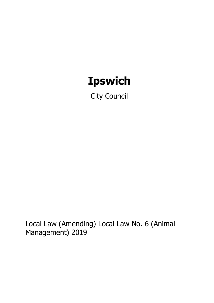# **Ipswich**

City Council

Local Law (Amending) Local Law No. 6 (Animal Management) 2019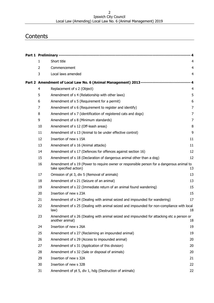#### Ipswich City Council Local Law (Amending) Local Law No. 6 (Animal Management) 2019

# **Contents**

|                |                                                                                                                     | - 4                     |
|----------------|---------------------------------------------------------------------------------------------------------------------|-------------------------|
| $\mathbf{1}$   | Short title                                                                                                         | 4                       |
| $\overline{2}$ | Commencement                                                                                                        | $\overline{4}$          |
| 3              | Local laws amended                                                                                                  | $\overline{\mathbf{4}}$ |
|                | Part 2 Amendment of Local Law No. 6 (Animal Management) 2013------------------------------                          |                         |
| 4              | Replacement of s 2 (Object)                                                                                         | 4                       |
| 5              | Amendment of s 4 (Relationship with other laws)                                                                     | 5                       |
| 6              | Amendment of s 5 (Requirement for a permit)                                                                         | 6                       |
| 7              | Amendment of s 6 (Requirement to register and identify)                                                             | $\overline{7}$          |
| 8              | Amendment of s 7 (identification of registered cats and dogs)                                                       | 7                       |
| 9              | Amendment of s 8 (Minimum standards)                                                                                | 7                       |
| 10             | Amendment of s 12 (Off-leash areas)                                                                                 | 8                       |
| 11             | Amendment of s 13 (Animal to be under effective control)                                                            | 9                       |
| 12             | Insertion of new s 15A                                                                                              | 11                      |
| 13             | Amendment of s 16 (Animal attacks)                                                                                  | 11                      |
| 14             | Amendment of s 17 (Defences for offences against section 16)                                                        | 12                      |
| 15             | Amendment of s 18 (Declaration of dangerous animal other than a dog)                                                | 12                      |
| 16             | Amendment of s 19 (Power to require owner or responsible person for a dangerous animal to<br>take specified action) | 13                      |
| 17             | Omission of pt 3, div 5 (Removal of animals)                                                                        | 13                      |
| 18             | Amendment of s 21 (Seizure of an animal)                                                                            | 13                      |
| 19             | Amendment of s 22 (Immediate return of an animal found wandering)                                                   | 15                      |
| 20             | Insertion of new s 23A                                                                                              | 15                      |
| 21             | Amendment of s 24 (Dealing with animal seized and impounded for wandering)                                          | 17                      |
| 22             | Amendment of s 25 (Dealing with animal seized and impounded for non-compliance with local<br>law)                   | 18                      |
| 23             | Amendment of s 26 (Dealing with animal seized and impounded for attacking etc a person or<br>another animal)        | 18                      |
| 24             | Insertion of new s 26A                                                                                              | 19                      |
| 25             | Amendment of s 27 (Reclaiming an impounded animal)                                                                  | 19                      |
| 26             | Amendment of s 29 (Access to impounded animal)                                                                      | 20                      |
| 27             | Amendment of s 31 (Application of this division)                                                                    | 20                      |
| 28             | Amendment of s 32 (Sale or disposal of animals)                                                                     | 20                      |
| 29             | Insertion of new s 32A                                                                                              | 21                      |
| 30             | Insertion of new s 32B                                                                                              | 22                      |
| 31             | Amendment of pt 5, div 1, hdg (Destruction of animals)                                                              | 22                      |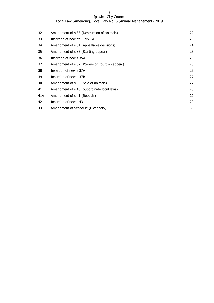| Ipswich City Council                                          |
|---------------------------------------------------------------|
| Local Law (Amending) Local Law No. 6 (Animal Management) 2019 |

| Amendment of s 33 (Destruction of animals)    | 22 |
|-----------------------------------------------|----|
| Insertion of new pt 5, div 1A                 | 23 |
| Amendment of s 34 (Appealable decisions)      | 24 |
| Amendment of s 35 (Starting appeal)           | 25 |
| Insertion of new s 35A                        | 25 |
| Amendment of s 37 (Powers of Court on appeal) | 26 |
| Insertion of new s 37A                        | 27 |
| Insertion of new s 37B                        | 27 |
| Amendment of s 38 (Sale of animals)           | 27 |
| Amendment of s 40 (Subordinate local laws)    | 28 |
| Amendment of s 41 (Repeals)                   | 29 |
| Insertion of new s 43                         | 29 |
| Amendment of Schedule (Dictionary)            | 30 |
|                                               |    |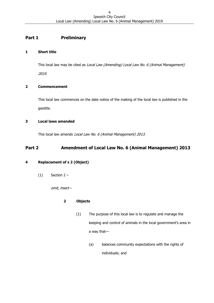# <span id="page-3-0"></span>**Part 1 Preliminary**

# <span id="page-3-1"></span>**1 Short title**

This local law may be cited as Local Law (Amending) Local Law No. 6 (Animal Management)

2019.

# <span id="page-3-2"></span>**2 Commencement**

This local law commences on the date notice of the making of the local law is published in the gazette.

# <span id="page-3-3"></span>**3 Local laws amended**

This local law amends Local Law No. 6 (Animal Management) 2013.

# <span id="page-3-4"></span>**Part 2 Amendment of Local Law No. 6 (Animal Management) 2013**

# <span id="page-3-5"></span>**4 Replacement of s 2 (Object)**

 $(1)$  Section 2 –

omit, insert –

# **2 Objects**

- (1) The purpose of this local law is to regulate and manage the keeping and control of animals in the local government's area in a way that—
	- (a) balances community expectations with the rights of individuals; and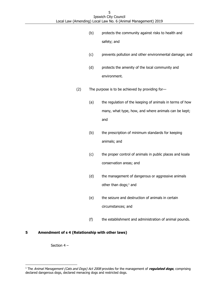- (b) protects the community against risks to health and safety; and
- (c) prevents pollution and other environmental damage; and
- (d) protects the amenity of the local community and environment.
- (2) The purpose is to be achieved by providing for—
	- (a) the regulation of the keeping of animals in terms of how many, what type, how, and where animals can be kept; and
	- (b) the prescription of minimum standards for keeping animals; and
	- (c) the proper control of animals in public places and koala conservation areas; and
	- (d) the management of dangerous or aggressive animals other than dogs; $<sup>1</sup>$  and</sup>
	- (e) the seizure and destruction of animals in certain circumstances; and
	- (f) the establishment and administration of animal pounds.

## <span id="page-4-0"></span>**5 Amendment of s 4 (Relationship with other laws)**

Section 4 –

-

<sup>1</sup> The Animal Management (Cats and Dogs) Act 2008 provides for the management of **regulated dogs**, comprising declared dangerous dogs, declared menacing dogs and restricted dogs.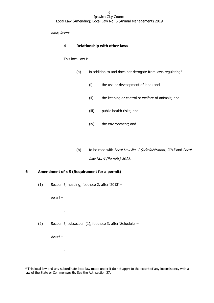omit, insert –

#### **4 Relationship with other laws**

This local law is—

- (a) in addition to and does not derogate from laws regulating<sup>2</sup>
	- (i) the use or development of land; and
	- (ii) the keeping or control or welfare of animals; and
	- (iii) public health risks; and
	- (iv) the environment; and
- (b) to be read with *Local Law No. 1 (Administration) 2013* and *Local* Law No. 4 (Permits) 2013.

## <span id="page-5-0"></span>**6 Amendment of s 5 (Requirement for a permit)**

(1) Section 5, heading, footnote 2, after '2013' –

insert –

.

.

(2) Section 5, subsection (1), footnote 3, after 'Schedule' –

insert –

-

<sup>&</sup>lt;sup>2</sup> This local law and any subordinate local law made under it do not apply to the extent of any inconsistency with a law of the State or Commonwealth. See the Act, section 27.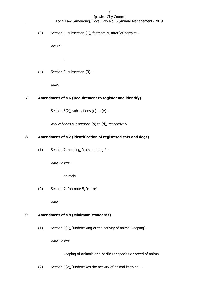(3) Section 5, subsection (1), footnote 4, after 'of permits' –

insert –

(4) Section 5, subsection  $(3)$  –

.

omit.

## <span id="page-6-0"></span>**7 Amendment of s 6 (Requirement to register and identify)**

Section  $6(2)$ , subsections (c) to (e) -

renumber as subsections (b) to (d), respectively

# <span id="page-6-1"></span>**8 Amendment of s 7 (identification of registered cats and dogs)**

(1) Section 7, heading, 'cats and dogs' –

omit, insert –

animals

(2) Section 7, footnote 5, 'cat or' –

omit.

## <span id="page-6-2"></span>**9 Amendment of s 8 (Minimum standards)**

(1) Section 8(1), 'undertaking of the activity of animal keeping' –

omit, insert –

keeping of animals or a particular species or breed of animal

(2) Section 8(2), 'undertakes the activity of animal keeping' –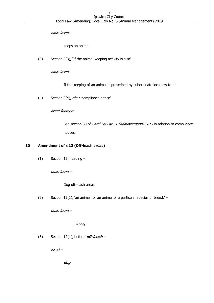omit, insert –

keeps an animal

(3) Section 8(3), 'If the animal keeping activity is also'  $-$ 

omit, insert –

If the keeping of an animal is prescribed by subordinate local law to be

(4) Section 8(4), after 'compliance notice' –

insert footnote –

See section 30 of *Local Law No. 1 (Administration) 2013* in relation to compliance notices.

#### <span id="page-7-0"></span>**10 Amendment of s 12 (Off-leash areas)**

 $(1)$  Section 12, heading –

omit, insert –

Dog off-leash areas

(2) Section 12(1), 'an animal, or an animal of a particular species or breed,'  $-$ 

omit, insert –

a dog

(3) Section 12(1), before '**off-leash**' –

insert –

**dog**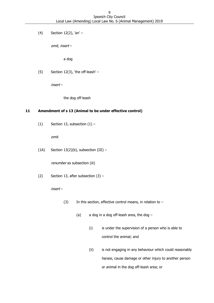(4) Section 12(2),  $an' -$ 

omit, insert –

a dog

(5) Section 12(3), 'the off-leash'  $-$ 

insert –

the dog off-leash

#### <span id="page-8-0"></span>**11 Amendment of s 13 (Animal to be under effective control)**

(1) Section 13, subsection  $(1)$  –

omit.

(1A) Section  $13(2)(b)$ , subsection (III) -

renumber as subsection (iii)

(2) Section 13, after subsection (3) –

insert –

- (3) In this section, effective control means, in relation to  $-$ 
	- (a) a dog in a dog off-leash area, the dog  $-$ 
		- (i) is under the supervision of a person who is able to control the animal; and
		- (ii) is not engaging in any behaviour which could reasonably harass, cause damage or other injury to another person or animal in the dog off-leash area; or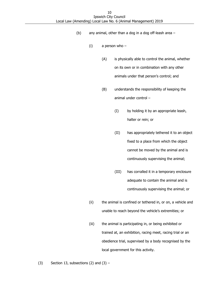- (b) any animal, other than a dog in a dog off-leash area
	- (i) a person who
		- (A) is physically able to control the animal, whether on its own or in combination with any other animals under that person's control; and
		- (B) understands the responsibility of keeping the animal under control –
			- (I) by holding it by an appropriate leash, halter or rein; or
			- (II) has appropriately tethered it to an object fixed to a place from which the object cannot be moved by the animal and is continuously supervising the animal;
			- (III) has corralled it in a temporary enclosure adequate to contain the animal and is continuously supervising the animal; or
	- (ii) the animal is confined or tethered in, or on, a vehicle and unable to reach beyond the vehicle's extremities; or
	- (iii) the animal is participating in, or being exhibited or trained at, an exhibition, racing meet, racing trial or an obedience trial, supervised by a body recognised by the local government for this activity.

(3) Section 13, subsections (2) and  $(3)$  –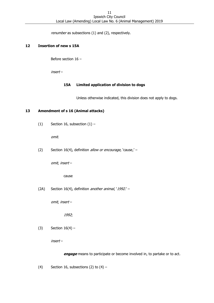renumber as subsections (1) and (2), respectively.

#### <span id="page-10-0"></span>**12 Insertion of new s 15A**

Before section 16 –

insert –

#### **15A Limited application of division to dogs**

Unless otherwise indicated, this division does not apply to dogs.

#### <span id="page-10-1"></span>**13 Amendment of s 16 (Animal attacks)**

(1) Section 16, subsection  $(1)$  –

omit.

(2) Section 16(4), definition *allow or encourage*, 'cause,' -

omit, insert –

cause

(2A) Section 16(4), definition another animal, '1992.' -

omit, insert –

1992;

(3) Section  $16(4) -$ 

insert –

**engage** means to participate or become involved in, to partake or to act.

(4) Section 16, subsections (2) to  $(4)$  –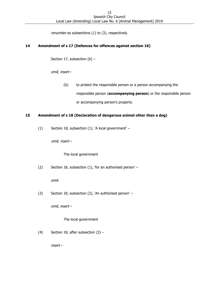renumber as subsections (1) to (3), respectively.

## <span id="page-11-0"></span>**14 Amendment of s 17 (Defences for offences against section 16)**

Section 17, subsection (b) –

omit, insert –

(b) to protect the responsible person or a person accompanying the responsible person (**accompanying person**) or the responsible person or accompanying person's property.

#### <span id="page-11-1"></span>**15 Amendment of s 18 (Declaration of dangerous animal other than a dog)**

(1) Section 18, subsection (1), 'A local government' –

omit, insert –

The local government

(2) Section 18, subsection (1), 'for an authorised person' –

omit.

(3) Section 18, subsection (2), 'An authorised person' –

omit, insert –

The local government

(4) Section 18, after subsection  $(3)$  –

insert –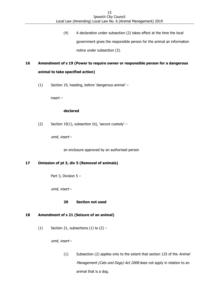(4) A declaration under subsection (2) takes effect at the time the local government gives the responsible person for the animal an information notice under subsection (3).

# <span id="page-12-0"></span>**16 Amendment of s 19 (Power to require owner or responsible person for a dangerous animal to take specified action)**

(1) Section 19, heading, before 'dangerous animal' –

insert –

#### **declared**

(2) Section 19(1), subsection (b), 'secure custody' –

omit, insert –

an enclosure approved by an authorised person

# <span id="page-12-1"></span>**17 Omission of pt 3, div 5 (Removal of animals)**

Part 3, Division 5 –

omit, insert –

**20 Section not used**

## <span id="page-12-2"></span>**18 Amendment of s 21 (Seizure of an animal)**

(1) Section 21, subsections  $(1)$  to  $(2)$  –

omit, insert –

(1) Subsection (2) applies only to the extent that section 125 of the Animal Management (Cats and Dogs) Act 2008 does not apply in relation to an animal that is a dog.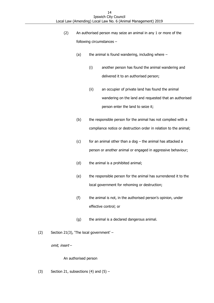- (2) An authorised person may seize an animal in any 1 or more of the following circumstances –
	- (a) the animal is found wandering, including where  $-$ 
		- (i) another person has found the animal wandering and delivered it to an authorised person;
		- (ii) an occupier of private land has found the animal wandering on the land and requested that an authorised person enter the land to seize it;
	- (b) the responsible person for the animal has not complied with a compliance notice or destruction order in relation to the animal;
	- $(c)$  for an animal other than a dog the animal has attacked a person or another animal or engaged in aggressive behaviour;
	- (d) the animal is a prohibited animal;
	- (e) the responsible person for the animal has surrendered it to the local government for rehoming or destruction;
	- (f) the animal is not, in the authorised person's opinion, under effective control; or
	- (g) the animal is a declared dangerous animal.
- (2) Section 21(3), 'The local government' –

omit, insert –

## An authorised person

(3) Section 21, subsections (4) and  $(5)$  –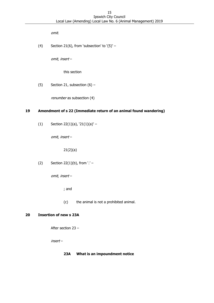omit.

(4) Section 21(6), from 'subsection' to  $'(5)'$  –

omit, insert –

this section

(5) Section 21, subsection  $(6)$  –

renumber as subsection (4)

## <span id="page-14-0"></span>**19 Amendment of s 22 (Immediate return of an animal found wandering)**

(1) Section 22(1)(a),  $21(1)(a)'$  –

omit, insert –

21(2)(a)

(2) Section 22(1)(b), from  $'$  –

omit, insert –

; and

(c) the animal is not a prohibited animal.

# <span id="page-14-1"></span>**20 Insertion of new s 23A**

After section 23 –

insert –

#### **23A What is an impoundment notice**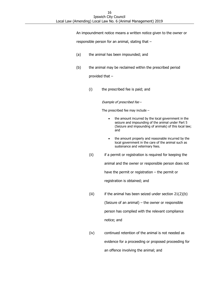An impoundment notice means a written notice given to the owner or

responsible person for an animal, stating that –

- (a) the animal has been impounded; and
- (b) the animal may be reclaimed within the prescribed period

provided that –

(i) the prescribed fee is paid; and

Example of prescribed fee –

The prescribed fee may include –

- the amount incurred by the local government in the seizure and impounding of the animal under Part 5 (Seizure and impounding of animals) of this local law; and
- the amount properly and reasonable incurred by the local government in the care of the animal such as sustenance and veterinary fees.
- (ii) if a permit or registration is required for keeping the animal and the owner or responsible person does not have the permit or registration – the permit or registration is obtained; and
- (iii) if the animal has been seized under section  $21(2)(b)$ (Seizure of an animal) – the owner or responsible person has complied with the relevant compliance notice; and
- (iv) continued retention of the animal is not needed as evidence for a proceeding or proposed proceeding for an offence involving the animal; and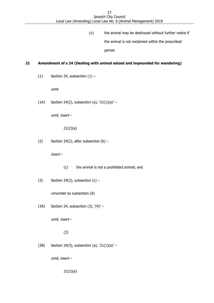(v) the animal may be destroyed without further notice if the animal is not reclaimed within the prescribed period.

# <span id="page-16-0"></span>**21 Amendment of s 24 (Dealing with animal seized and impounded for wandering)**

(1) Section 24, subsection  $(1)$  –

omit.

(1A) Section 24(2), subsection (a),  $21(1)(a)'$  –

omit, insert –

21(2)(a)

(2) Section 24(2), after subsection (b)  $-$ 

insert –

- (c) the animal is not a prohibited animal; and
- (3) Section 24(2), subsection  $(c)$  –

renumber as subsection (d)

(3A) Section 24, subsection  $(3)$ ,  $(4)'$  –

omit, insert –

(3)

(3B) Section 24(3), subsection (a),  $21(1)(a)'$  –

omit, insert –

21(2)(a)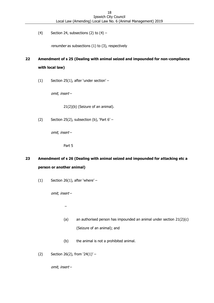(4) Section 24, subsections (2) to  $(4)$  –

renumber as subsections (1) to (3), respectively

# <span id="page-17-0"></span>**22 Amendment of s 25 (Dealing with animal seized and impounded for non-compliance with local law)**

(1) Section 25(1), after 'under section' –

omit, insert –

21(2)(b) (Seizure of an animal).

(2) Section 25(2), subsection (b), 'Part  $6'$  –

omit, insert –

Part 5

# <span id="page-17-1"></span>**23 Amendment of s 26 (Dealing with animal seized and impounded for attacking etc a person or another animal)**

(1) Section 26(1), after 'where'  $-$ 

omit, insert –

–

- (a) an authorised person has impounded an animal under section  $21(2)(c)$ (Seizure of an animal); and
- (b) the animal is not a prohibited animal.
- (2) Section 26(2), from  $24(1)'$  –

omit, insert –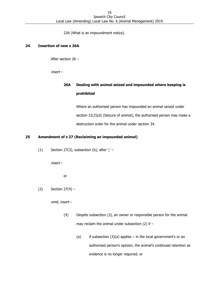23A (What is an impoundment notice).

#### <span id="page-18-0"></span>**24 Insertion of new s 26A**

After section 26 –

insert –

# **26A Dealing with animal seized and impounded where keeping is prohibited**

Where an authorised person has impounded an animal seized under section 21(2)(d) (Seizure of animal), the authorised person may make a destruction order for the animal under section 34.

# <span id="page-18-1"></span>**25 Amendment of s 27 (Reclaiming an impounded animal)**

(1) Section 27(3), subsection (b), after  $\cdot$ ;' -

insert –

or

(2) Section  $27(4)$  –

omit, insert –

- (4) Despite subsection (3), an owner or responsible person for the animal may reclaim the animal under subsection (2) if  $-$ 
	- (a) if subsection  $(3)(a)$  applies in the local government's or an authorised person's opinion, the animal's continued retention as evidence is no longer required; or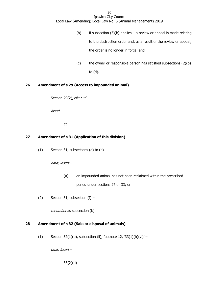- (b) if subsection  $(3)(b)$  applies a review or appeal is made relating to the destruction order and, as a result of the review or appeal, the order is no longer in force; and
- (c) the owner or responsible person has satisfied subsections (2)(b) to (d).

## <span id="page-19-0"></span>**26 Amendment of s 29 (Access to impounded animal)**

Section 29(2), after 'it'  $-$ 

insert –

at

## <span id="page-19-1"></span>**27 Amendment of s 31 (Application of this division)**

(1) Section 31, subsections (a) to  $(e)$  –

omit, insert –

- (a) an impounded animal has not been reclaimed within the prescribed period under sections 27 or 33; or
- (2) Section 31, subsection (f)  $-$

renumber as subsection (b)

# <span id="page-19-2"></span>**28 Amendment of s 32 (Sale or disposal of animals)**

(1) Section  $32(1)(b)$ , subsection (ii), footnote  $12$ ,  $33(1)(b)(vi)'$  –

omit, insert –

33(2)(d)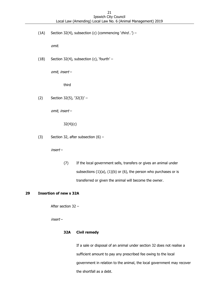(1A) Section 32(4), subsection (c) (commencing 'third...') –

omit.

(1B) Section 32(4), subsection (c), 'fourth' –

omit, insert –

third

(2) Section 32(5), '32(3)' –

omit, insert –

32(4)(c)

(3) Section 32, after subsection  $(6)$  –

insert –

(7) If the local government sells, transfers or gives an animal under subsections  $(1)(a)$ ,  $(1)(b)$  or  $(6)$ , the person who purchases or is transferred or given the animal will become the owner.

## <span id="page-20-0"></span>**29 Insertion of new s 32A**

After section 32 –

insert –

#### **32A Civil remedy**

If a sale or disposal of an animal under section 32 does not realise a sufficient amount to pay any prescribed fee owing to the local government in relation to the animal, the local government may recover the shortfall as a debt.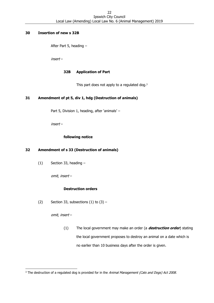#### <span id="page-21-0"></span>**30 Insertion of new s 32B**

After Part 5, heading –

insert –

#### **32B Application of Part**

This part does not apply to a regulated dog.<sup>3</sup>

## <span id="page-21-1"></span>**31 Amendment of pt 5, div 1, hdg (Destruction of animals)**

Part 5, Division 1, heading, after 'animals' –

insert –

## **following notice**

## <span id="page-21-2"></span>**32 Amendment of s 33 (Destruction of animals)**

(1) Section 33, heading –

omit, insert –

## **Destruction orders**

(2) Section 33, subsections  $(1)$  to  $(3)$  –

omit, insert –

-

(1) The local government may make an order (a **destruction order**) stating the local government proposes to destroy an animal on a date which is no earlier than 10 business days after the order is given.

<sup>&</sup>lt;sup>3</sup> The destruction of a regulated dog is provided for in the Animal Management (Cats and Dogs) Act 2008.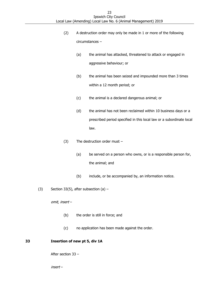- (2) A destruction order may only be made in 1 or more of the following circumstances –
	- (a) the animal has attacked, threatened to attack or engaged in aggressive behaviour; or
	- (b) the animal has been seized and impounded more than 3 times within a 12 month period; or
	- (c) the animal is a declared dangerous animal; or
	- (d) the animal has not been reclaimed within 10 business days or a prescribed period specified in this local law or a subordinate local law.
- (3) The destruction order must
	- (a) be served on a person who owns, or is a responsible person for, the animal; and
	- (b) include, or be accompanied by, an information notice.
- (3) Section 33(5), after subsection (a)  $-$

omit, insert –

- (b) the order is still in force; and
- <span id="page-22-0"></span>(c) no application has been made against the order.

## **33 Insertion of new pt 5, div 1A**

After section 33 –

insert –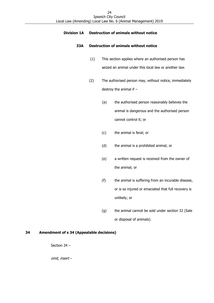## **Division 1A Destruction of animals without notice**

## **33A Destruction of animals without notice**

- (1) This section applies where an authorised person has seized an animal under this local law or another law.
- (2) The authorised person may, without notice, immediately destroy the animal if –
	- (a) the authorised person reasonably believes the animal is dangerous and the authorised person cannot control it; or
	- (c) the animal is feral; or
	- (d) the animal is a prohibited animal; or
	- (e) a written request is received from the owner of the animal; or
	- (f) the animal is suffering from an incurable disease, or is so injured or emaciated that full recovery is unlikely; or
	- (g) the animal cannot be sold under section 32 (Sale or disposal of animals).

#### <span id="page-23-0"></span>**34 Amendment of s 34 (Appealable decisions)**

Section 34 –

omit, insert –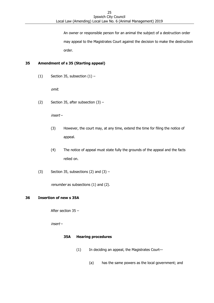An owner or responsible person for an animal the subject of a destruction order may appeal to the Magistrates Court against the decision to make the destruction order.

# <span id="page-24-0"></span>**35 Amendment of s 35 (Starting appeal)**

(1) Section 35, subsection  $(1)$  –

omit.

(2) Section 35, after subsection  $(3)$  –

insert –

- (3) However, the court may, at any time, extend the time for filing the notice of appeal.
- (4) The notice of appeal must state fully the grounds of the appeal and the facts relied on.
- (3) Section 35, subsections (2) and  $(3)$  –

renumber as subsections (1) and (2).

## <span id="page-24-1"></span>**36 Insertion of new s 35A**

After section 35 –

insert –

## **35A Hearing procedures**

- (1) In deciding an appeal, the Magistrates Court—
	- (a) has the same powers as the local government; and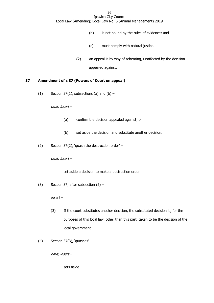- (b) is not bound by the rules of evidence; and
- (c) must comply with natural justice.
- (2) An appeal is by way of rehearing, unaffected by the decision appealed against.

#### <span id="page-25-0"></span>**37 Amendment of s 37 (Powers of Court on appeal)**

(1) Section 37(1), subsections (a) and (b)  $-$ 

omit, insert –

- (a) confirm the decision appealed against; or
- (b) set aside the decision and substitute another decision.
- (2) Section 37(2), 'quash the destruction order' –

omit, insert –

set aside a decision to make a destruction order

(3) Section 37, after subsection  $(2)$  –

insert –

- (3) If the court substitutes another decision, the substituted decision is, for the purposes of this local law, other than this part, taken to be the decision of the local government.
- (4) Section 37(3), 'quashes' –

omit, insert –

sets aside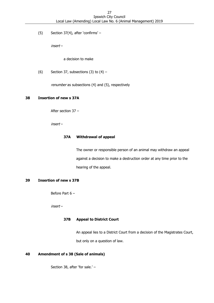(5) Section 37(4), after 'confirms' –

insert –

a decision to make

(6) Section 37, subsections (3) to  $(4)$  –

renumber as subsections (4) and (5), respectively

#### <span id="page-26-0"></span>**38 Insertion of new s 37A**

After section 37 –

insert –

# **37A Withdrawal of appeal**

The owner or responsible person of an animal may withdraw an appeal against a decision to make a destruction order at any time prior to the hearing of the appeal.

#### <span id="page-26-1"></span>**39 Insertion of new s 37B**

Before Part 6 –

insert –

#### **37B Appeal to District Court**

An appeal lies to a District Court from a decision of the Magistrates Court, but only on a question of law.

# <span id="page-26-2"></span>**40 Amendment of s 38 (Sale of animals)**

Section 38, after 'for sale.' –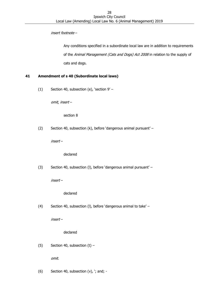insert footnote –

Any conditions specified in a subordinate local law are in addition to requirements of the Animal Management (Cats and Dogs) Act 2008 in relation to the supply of cats and dogs.

## <span id="page-27-0"></span>**41 Amendment of s 40 (Subordinate local laws)**

(1) Section 40, subsection (e), 'section 9' –

omit, insert –

section 8

(2) Section 40, subsection (k), before 'dangerous animal pursuant' –

insert –

declared

(3) Section 40, subsection (l), before 'dangerous animal pursuant' –

insert –

## declared

(4) Section 40, subsection (l), before 'dangerous animal to take' –

insert –

declared

(5) Section 40, subsection  $(t)$  –

omit.

(6) Section 40, subsection (v), '; and; -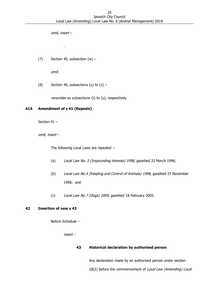omit, insert –

.

(7) Section 40, subsection  $(w)$  –

omit.

(8) Section 40, subsections (u) to  $(v)$  –

renumber as subsections (t) to (u), respectively

#### <span id="page-28-0"></span>**41A Amendment of s 41 (Repeals)**

Section 41 –

omit, insert –

The following Local Laws are repealed –

- (a) Local Law No. 3 (Impounding Animals) 1996, gazetted 22 March 1996;
- (b) Local Law No.4 (Keeping and Control of Animals) 1998, gazetted 27 November 1998; and
- (c) Local Law No.7 (Dogs) 2005, gazetted 18 February 2005.

#### <span id="page-28-1"></span>**42 Insertion of new s 43**

Before Schedule –

insert –

#### **43 Historical declaration by authorised person**

Any declaration made by an authorised person under section 18(2) before the commencement of Local Law (Amending) Local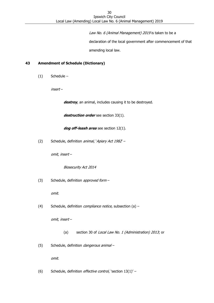Law No. 6 (Animal Management) 2019 is taken to be a

declaration of the local government after commencement of that

amending local law.

#### <span id="page-29-0"></span>**43 Amendment of Schedule (Dictionary)**

(1) Schedule –

insert –

destroy, an animal, includes causing it to be destroyed.

destruction order see section 33(1).

**dog off-leash area** see section 12(1).

(2) Schedule, definition *animal*, *`Apiary Act 1982' –* 

omit, insert –

Biosecurity Act 2014

(3) Schedule, definition *approved form* -

omit.

(4) Schedule, definition *compliance notice*, subsection  $(a)$  –

omit, insert –

- (a) section 30 of Local Law No. 1 (Administration) 2013; or
- (5) Schedule, definition *dangerous animal-*

omit.

(6) Schedule, definition *effective control*, 'section  $13(1)'$  –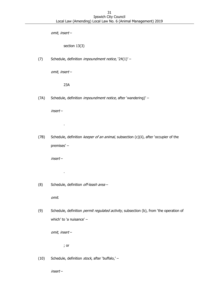omit, insert –

section 13(3)

(7) Schedule, definition *impoundment notice*, '24(1)' -

omit, insert –

23A

(7A) Schedule, definition *impoundment notice*, after 'wandering)' -

insert –

.

(7B) Schedule, definition keeper of an animal, subsection (c)(ii), after 'occupier of the premises' –

insert –

.

(8) Schedule, definition off-leash area -

omit.

(9) Schedule, definition *permit regulated activity*, subsection (b), from 'the operation of which' to 'a nuisance' –

omit, insert –

; or

(10) Schedule, definition  $stock$ , after 'buffalo,' -

insert –